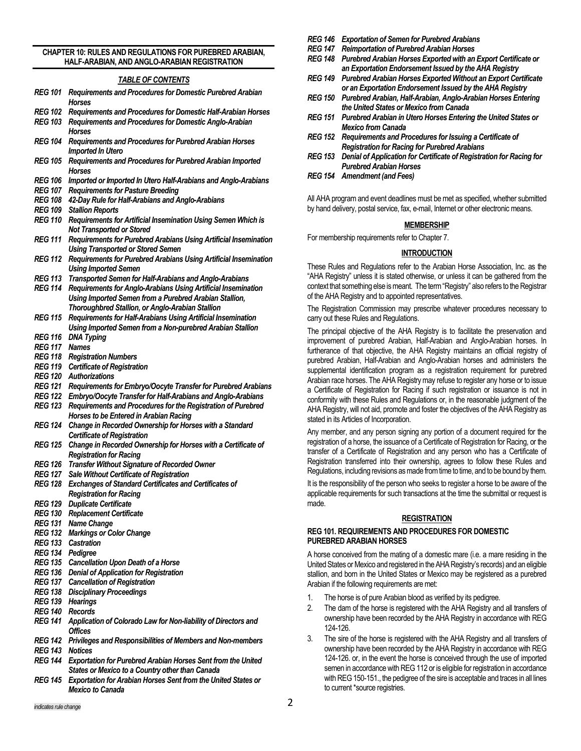#### **CHAPTER 10: RULES AND REGULATIONS FOR PUREBRED ARABIAN, HALF-ARABIAN, AND ANGLO-ARABIAN REGISTRATION**

# *TABLE OF CONTENTS*

- *REG 101 Requirements and Procedures for Domestic Purebred Arabian Horses*
- *REG 102 Requirements and Procedures for Domestic Half-Arabian Horses*
- *REG 103 Requirements and Procedures for Domestic Anglo-Arabian Horses*
- *REG 104 Requirements and Procedures for Purebred Arabian Horses Imported In Utero*
- *REG 105 Requirements and Procedures for Purebred Arabian Imported Horses*
- *REG 106 Imported or Imported In Utero Half-Arabians and Anglo-Arabians*
- *REG 107 Requirements for Pasture Breeding*
- *REG 108 42-Day Rule for Half-Arabians and Anglo-Arabians*
- *REG 109 Stallion Reports*
- *REG 110 Requirements for Artificial Insemination Using Semen Which is Not Transported or Stored*
- *REG 111 Requirements for Purebred Arabians Using Artificial Insemination Using Transported or Stored Semen*
- *REG 112 Requirements for Purebred Arabians Using Artificial Insemination Using Imported Semen*
- *REG 113 Transported Semen for Half-Arabians and Anglo-Arabians*
- *REG 114 Requirements for Anglo-Arabians Using Artificial Insemination Using Imported Semen from a Purebred Arabian Stallion, Thoroughbred Stallion, or Anglo-Arabian Stallion*
- *REG 115 Requirements for Half-Arabians Using Artificial Insemination Using Imported Semen from a Non-purebred Arabian Stallion*
- *REG 116 DNA Typing*
- *REG 117 Names*
- *REG 118 Registration Numbers*
- *REG 119 Certificate of Registration*
- *REG 120 Authorizations*
- *REG 121 Requirements for Embryo/Oocyte Transfer for Purebred Arabians*
- *REG 122 Embryo/Oocyte Transfer for Half-Arabians and Anglo-Arabians*
- *REG 123 Requirements and Procedures for the Registration of Purebred Horses to be Entered in Arabian Racing*
- *REG 124 Change in Recorded Ownership for Horses with a Standard Certificate of Registration*
- *REG 125 Change in Recorded Ownership for Horses with a Certificate of Registration for Racing*
- *REG 126 Transfer Without Signature of Recorded Owner*
- *REG 127 Sale Without Certificate of Registration*
- *REG 128 Exchanges of Standard Certificates and Certificates of Registration for Racing*
- *REG 129 Duplicate Certificate*
- *REG 130 Replacement Certificate*
- *REG 131 Name Change*
- *REG 132 Markings or Color Change*
- *REG 133 Castration*
- *REG 134 Pedigree*
- *REG 135 Cancellation Upon Death of a Horse*
- *REG 136 Denial of Application for Registration*
- *REG 137 Cancellation of Registration*
- *REG 138 Disciplinary Proceedings*
- *REG 139 Hearings*
- *REG 140 Records*
- *REG 141 Application of Colorado Law for Non-liability of Directors and Offices*
- *REG 142 Privileges and Responsibilities of Members and Non-members REG 143 Notices*
- *REG 144 Exportation for Purebred Arabian Horses Sent from the United States or Mexico to a Country other than Canada*
- *REG 145 Exportation for Arabian Horses Sent from the United States or Mexico to Canada*
- *REG 146 Exportation of Semen for Purebred Arabians*
- *REG 147 Reimportation of Purebred Arabian Horses*
- *REG 148 Purebred Arabian Horses Exported with an Export Certificate or an Exportation Endorsement Issued by the AHA Registry*
- *REG 149 Purebred Arabian Horses Exported Without an Export Certificate or an Exportation Endorsement Issued by the AHA Registry*
- *REG 150 Purebred Arabian, Half-Arabian, Anglo-Arabian Horses Entering the United States or Mexico from Canada*
- *REG 151 Purebred Arabian in Utero Horses Entering the United States or Mexico from Canada*
- *REG 152 Requirements and Procedures for Issuing a Certificate of Registration for Racing for Purebred Arabians*
- *REG 153 Denial of Application for Certificate of Registration for Racing for Purebred Arabian Horses*
- *REG 154 Amendment (and Fees)*

All AHA program and event deadlines must be met as specified, whether submitted by hand delivery, postal service, fax, e-mail, Internet or other electronic means.

#### **MEMBERSHIP**

For membership requirements refer to Chapter 7.

### **INTRODUCTION**

These Rules and Regulations refer to the Arabian Horse Association, Inc. as the "AHA Registry" unless it is stated otherwise, or unless it can be gathered from the context that something else is meant. The term "Registry" also refers to the Registrar of the AHA Registry and to appointed representatives.

The Registration Commission may prescribe whatever procedures necessary to carry out these Rules and Regulations.

The principal objective of the AHA Registry is to facilitate the preservation and improvement of purebred Arabian, Half-Arabian and Anglo-Arabian horses. In furtherance of that objective, the AHA Registry maintains an official registry of purebred Arabian, Half-Arabian and Anglo-Arabian horses and administers the supplemental identification program as a registration requirement for purebred Arabian race horses. The AHA Registry may refuse to register any horse or to issue a Certificate of Registration for Racing if such registration or issuance is not in conformity with these Rules and Regulations or, in the reasonable judgment of the AHA Registry, will not aid, promote and foster the objectives of the AHA Registry as stated in its Articles of Incorporation.

Any member, and any person signing any portion of a document required for the registration of a horse, the issuance of a Certificate of Registration for Racing, or the transfer of a Certificate of Registration and any person who has a Certificate of Registration transferred into their ownership, agrees to follow these Rules and Regulations, including revisions as made from time to time, and to be bound by them.

It is the responsibility of the person who seeks to register a horse to be aware of the applicable requirements for such transactions at the time the submittal or request is made.

#### **REGISTRATION**

#### **REG 101. REQUIREMENTS AND PROCEDURES FOR DOMESTIC PUREBRED ARABIAN HORSES**

A horse conceived from the mating of a domestic mare (i.e. a mare residing in the United States or Mexico and registered in the AHA Registry's records) and an eligible stallion, and born in the United States or Mexico may be registered as a purebred Arabian if the following requirements are met:

- 1. The horse is of pure Arabian blood as verified by its pedigree.
- 2. The dam of the horse is registered with the AHA Registry and all transfers of ownership have been recorded by the AHA Registry in accordance with REG 124-126.
- 3. The sire of the horse is registered with the AHA Registry and all transfers of ownership have been recorded by the AHA Registry in accordance with REG 124-126. or, in the event the horse is conceived through the use of imported semen in accordance with REG 112 or is eligible for registration in accordance with REG 150-151., the pedigree of the sire is acceptable and traces in all lines to current \*source registries.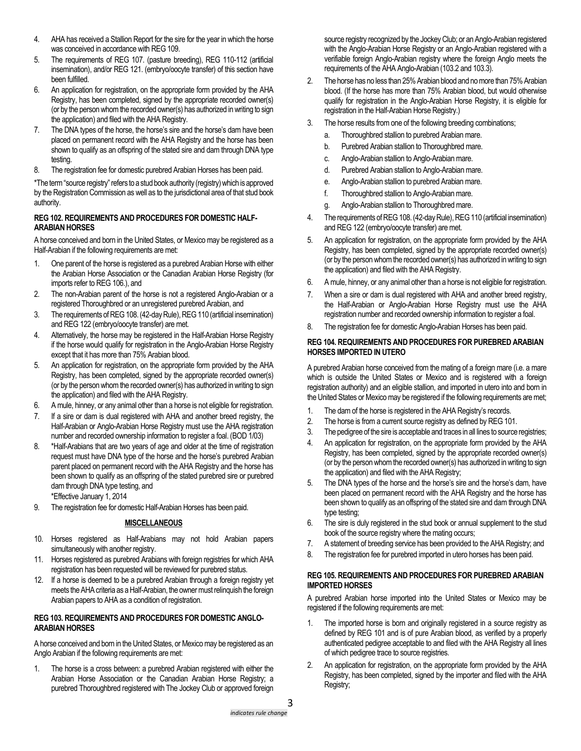- 4. AHA has received a Stallion Report for the sire for the year in which the horse was conceived in accordance with REG 109.
- 5. The requirements of REG 107. (pasture breeding), REG 110-112 (artificial insemination), and/or REG 121. (embryo/oocyte transfer) of this section have been fulfilled.
- 6. An application for registration, on the appropriate form provided by the AHA Registry, has been completed, signed by the appropriate recorded owner(s) (or by the person whom the recorded owner(s) has authorized in writing to sign the application) and filed with the AHA Registry.
- 7. The DNA types of the horse, the horse's sire and the horse's dam have been placed on permanent record with the AHA Registry and the horse has been shown to qualify as an offspring of the stated sire and dam through DNA type testing.
- 8. The registration fee for domestic purebred Arabian Horses has been paid.

\*The term "source registry" refers to a stud book authority (registry) which is approved by the Registration Commission as well as to the jurisdictional area of that stud book authority.

## **REG 102. REQUIREMENTS AND PROCEDURES FOR DOMESTIC HALF-ARABIAN HORSES**

A horse conceived and born in the United States, or Mexico may be registered as a Half-Arabian if the following requirements are met:

- 1. One parent of the horse is registered as a purebred Arabian Horse with either the Arabian Horse Association or the Canadian Arabian Horse Registry (for imports refer to REG 106.), and
- 2. The non-Arabian parent of the horse is not a registered Anglo-Arabian or a registered Thoroughbred or an unregistered purebred Arabian, and
- 3. The requirements of REG 108. (42-day Rule), REG 110 (artificial insemination) and REG 122 (embryo/oocyte transfer) are met.
- 4. Alternatively, the horse may be registered in the Half-Arabian Horse Registry if the horse would qualify for registration in the Anglo-Arabian Horse Registry except that it has more than 75% Arabian blood.
- 5. An application for registration, on the appropriate form provided by the AHA Registry, has been completed, signed by the appropriate recorded owner(s) (or by the person whom the recorded owner(s) has authorized in writing to sign the application) and filed with the AHA Registry.
- 6. A mule, hinney, or any animal other than a horse is not eligible for registration.
- 7. If a sire or dam is dual registered with AHA and another breed registry, the Half-Arabian or Anglo-Arabian Horse Registry must use the AHA registration number and recorded ownership information to register a foal. (BOD 1/03)
- 8. \*Half-Arabians that are two years of age and older at the time of registration request must have DNA type of the horse and the horse's purebred Arabian parent placed on permanent record with the AHA Registry and the horse has been shown to qualify as an offspring of the stated purebred sire or purebred dam through DNA type testing, and \*Effective January 1, 2014
- 9. The registration fee for domestic Half-Arabian Horses has been paid.

# **MISCELLANEOUS**

- 10. Horses registered as Half-Arabians may not hold Arabian papers simultaneously with another registry.
- 11. Horses registered as purebred Arabians with foreign registries for which AHA registration has been requested will be reviewed for purebred status.
- 12. If a horse is deemed to be a purebred Arabian through a foreign registry yet meets the AHA criteria as a Half-Arabian, the owner must relinquish the foreign Arabian papers to AHA as a condition of registration.

# **REG 103. REQUIREMENTS AND PROCEDURES FOR DOMESTIC ANGLO-ARABIAN HORSES**

A horse conceived and born in the United States, or Mexico may be registered as an Anglo Arabian if the following requirements are met:

1. The horse is a cross between: a purebred Arabian registered with either the Arabian Horse Association or the Canadian Arabian Horse Registry; a purebred Thoroughbred registered with The Jockey Club or approved foreign

source registry recognized by the Jockey Club; or an Anglo-Arabian registered with the Anglo-Arabian Horse Registry or an Anglo-Arabian registered with a verifiable foreign Anglo-Arabian registry where the foreign Anglo meets the requirements of the AHA Anglo-Arabian (103.2 and 103.3).

- 2. The horse has no less than 25% Arabian blood and no more than 75% Arabian blood. (If the horse has more than 75% Arabian blood, but would otherwise qualify for registration in the Anglo-Arabian Horse Registry, it is eligible for registration in the Half-Arabian Horse Registry.)
- 3. The horse results from one of the following breeding combinations;
	- a. Thoroughbred stallion to purebred Arabian mare.
	- b. Purebred Arabian stallion to Thoroughbred mare.
	- c. Anglo-Arabian stallion to Anglo-Arabian mare.
	- d. Purebred Arabian stallion to Anglo-Arabian mare.
	- e. Anglo-Arabian stallion to purebred Arabian mare.
	- f. Thoroughbred stallion to Anglo-Arabian mare.
	- g. Anglo-Arabian stallion to Thoroughbred mare.
- 4. The requirements of REG108. (42-day Rule), REG110 (artificial insemination) and REG 122 (embryo/oocyte transfer) are met.
- 5. An application for registration, on the appropriate form provided by the AHA Registry, has been completed, signed by the appropriate recorded owner(s) (or by the person whom the recorded owner(s) has authorized in writing to sign the application) and filed with the AHA Registry.
- 6. A mule, hinney, or any animal other than a horse is not eligible for registration.
- 7. When a sire or dam is dual registered with AHA and another breed registry, the Half-Arabian or Anglo-Arabian Horse Registry must use the AHA registration number and recorded ownership information to register a foal.
- 8. The registration fee for domestic Anglo-Arabian Horses has been paid.

### **REG 104. REQUIREMENTS AND PROCEDURES FOR PUREBRED ARABIAN HORSES IMPORTED IN UTERO**

A purebred Arabian horse conceived from the mating of a foreign mare (i.e. a mare which is outside the United States or Mexico and is registered with a foreign registration authority) and an eligible stallion, and imported in utero into and born in the United States or Mexico may be registered if the following requirements are met;

- 1. The dam of the horse is registered in the AHA Registry's records.
- 2. The horse is from a current source registry as defined by REG 101.
- 3. The pedigree of the sire is acceptable and traces in all lines to source registries;
- 4. An application for registration, on the appropriate form provided by the AHA Registry, has been completed, signed by the appropriate recorded owner(s) (or by the person whom the recorded owner(s) has authorized in writing to sign the application) and filed with the AHA Registry;
- 5. The DNA types of the horse and the horse's sire and the horse's dam, have been placed on permanent record with the AHA Registry and the horse has been shown to qualify as an offspring of the stated sire and dam through DNA type testing;
- 6. The sire is duly registered in the stud book or annual supplement to the stud book of the source registry where the mating occurs;
- 7. A statement of breeding service has been provided to the AHA Registry; and
- 8. The registration fee for purebred imported in utero horses has been paid.

### **REG 105. REQUIREMENTS AND PROCEDURES FOR PUREBRED ARABIAN IMPORTED HORSES**

A purebred Arabian horse imported into the United States or Mexico may be registered if the following requirements are met:

- 1. The imported horse is born and originally registered in a source registry as defined by REG 101 and is of pure Arabian blood, as verified by a properly authenticated pedigree acceptable to and filed with the AHA Registry all lines of which pedigree trace to source registries.
- 2. An application for registration, on the appropriate form provided by the AHA Registry, has been completed, signed by the importer and filed with the AHA Registry;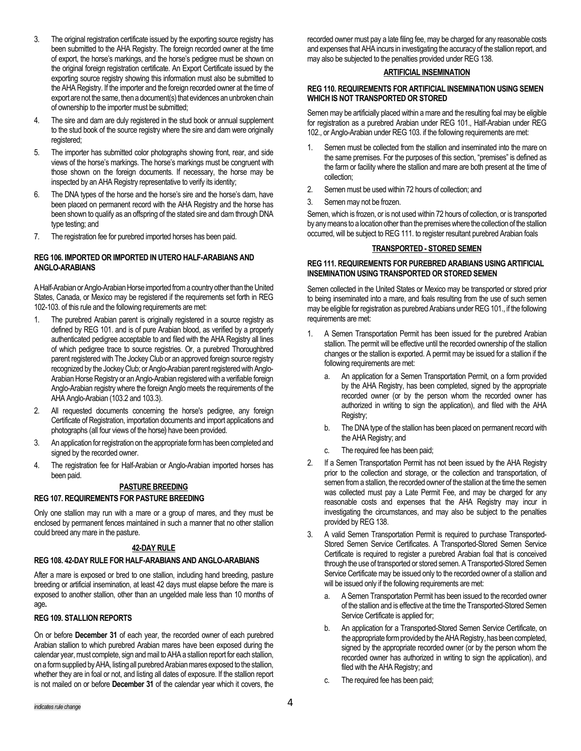- 3. The original registration certificate issued by the exporting source registry has been submitted to the AHA Registry. The foreign recorded owner at the time of export, the horse's markings, and the horse's pedigree must be shown on the original foreign registration certificate. An Export Certificate issued by the exporting source registry showing this information must also be submitted to the AHA Registry. If the importer and the foreign recorded owner at the time of export are not the same, then a document(s) that evidences an unbroken chain of ownership to the importer must be submitted;
- 4. The sire and dam are duly registered in the stud book or annual supplement to the stud book of the source registry where the sire and dam were originally registered;
- 5. The importer has submitted color photographs showing front, rear, and side views of the horse's markings. The horse's markings must be congruent with those shown on the foreign documents. If necessary, the horse may be inspected by an AHA Registry representative to verify its identity;
- 6. The DNA types of the horse and the horse's sire and the horse's dam, have been placed on permanent record with the AHA Registry and the horse has been shown to qualify as an offspring of the stated sire and dam through DNA type testing; and
- 7. The registration fee for purebred imported horses has been paid.

### **REG 106. IMPORTED OR IMPORTED IN UTERO HALF-ARABIANS AND ANGLO-ARABIANS**

A Half-Arabian or Anglo-Arabian Horse imported from a country other than the United States, Canada, or Mexico may be registered if the requirements set forth in REG 102-103. of this rule and the following requirements are met:

- 1. The purebred Arabian parent is originally registered in a source registry as defined by REG 101. and is of pure Arabian blood, as verified by a properly authenticated pedigree acceptable to and filed with the AHA Registry all lines of which pedigree trace to source registries. Or, a purebred Thoroughbred parent registered with The Jockey Club or an approved foreign source registry recognized by the Jockey Club; or Anglo-Arabian parent registered with Anglo-Arabian Horse Registry or an Anglo-Arabian registered with a verifiable foreign Anglo-Arabian registry where the foreign Anglo meets the requirements of the AHA Anglo-Arabian (103.2 and 103.3).
- 2. All requested documents concerning the horse's pedigree, any foreign Certificate of Registration, importation documents and import applications and photographs (all four views of the horse) have been provided.
- 3. An application for registration on the appropriate form has been completed and signed by the recorded owner.
- 4. The registration fee for Half-Arabian or Anglo-Arabian imported horses has been paid.

# **PASTURE BREEDING**

#### **REG 107. REQUIREMENTS FOR PASTURE BREEDING**

Only one stallion may run with a mare or a group of mares, and they must be enclosed by permanent fences maintained in such a manner that no other stallion could breed any mare in the pasture.

### **42-DAY RULE**

### **REG 108. 42-DAY RULE FOR HALF-ARABIANS AND ANGLO-ARABIANS**

After a mare is exposed or bred to one stallion, including hand breeding, pasture breeding or artificial insemination, at least 42 days must elapse before the mare is exposed to another stallion, other than an ungelded male less than 10 months of age**.** 

### **REG 109. STALLION REPORTS**

On or before **December 31** of each year, the recorded owner of each purebred Arabian stallion to which purebred Arabian mares have been exposed during the calendar year, must complete, sign and mail to AHA a stallion report for each stallion, on a form supplied by AHA, listingall purebred Arabian mares exposed to the stallion, whether they are in foal or not, and listing all dates of exposure. If the stallion report is not mailed on or before **December 31** of the calendar year which it covers, the

recorded owner must pay a late filing fee, may be charged for any reasonable costs and expenses that AHA incurs in investigating the accuracy of the stallion report, and may also be subjected to the penalties provided under REG 138.

## **ARTIFICIAL INSEMINATION**

### **REG 110. REQUIREMENTS FOR ARTIFICIAL INSEMINATION USING SEMEN WHICH IS NOT TRANSPORTED OR STORED**

Semen may be artificially placed within a mare and the resulting foal may be eligible for registration as a purebred Arabian under REG 101., Half-Arabian under REG 102., or Anglo-Arabian under REG 103. if the following requirements are met:

- Semen must be collected from the stallion and inseminated into the mare on the same premises. For the purposes of this section, "premises" is defined as the farm or facility where the stallion and mare are both present at the time of collection;
- 2. Semen must be used within 72 hours of collection; and
- 3. Semen may not be frozen.

Semen, which is frozen, or is not used within 72 hours of collection, or is transported by any means to a location other than the premises where the collection of the stallion occurred, will be subject to REG 111. to register resultant purebred Arabian foals

### **TRANSPORTED - STORED SEMEN**

### **REG 111. REQUIREMENTS FOR PUREBRED ARABIANS USING ARTIFICIAL INSEMINATION USING TRANSPORTED OR STORED SEMEN**

Semen collected in the United States or Mexico may be transported or stored prior to being inseminated into a mare, and foals resulting from the use of such semen may be eligible for registration as purebred Arabians under REG 101., if the following requirements are met:

- 1. A Semen Transportation Permit has been issued for the purebred Arabian stallion. The permit will be effective until the recorded ownership of the stallion changes or the stallion is exported. A permit may be issued for a stallion if the following requirements are met:
	- a. An application for a Semen Transportation Permit, on a form provided by the AHA Registry, has been completed, signed by the appropriate recorded owner (or by the person whom the recorded owner has authorized in writing to sign the application), and filed with the AHA Registry;
	- b. The DNA type of the stallion has been placed on permanent record with the AHA Registry; and
	- The required fee has been paid;
- 2. If a Semen Transportation Permit has not been issued by the AHA Registry prior to the collection and storage, or the collection and transportation, of semen from a stallion, the recorded owner of the stallion at the time the semen was collected must pay a Late Permit Fee, and may be charged for any reasonable costs and expenses that the AHA Registry may incur in investigating the circumstances, and may also be subject to the penalties provided by REG 138.
- 3. A valid Semen Transportation Permit is required to purchase Transported-Stored Semen Service Certificates. A Transported-Stored Semen Service Certificate is required to register a purebred Arabian foal that is conceived through the use of transported or stored semen. A Transported-Stored Semen Service Certificate may be issued only to the recorded owner of a stallion and will be issued only if the following requirements are met:
	- a. A Semen Transportation Permit has been issued to the recorded owner of the stallion and is effective at the time the Transported-Stored Semen Service Certificate is applied for;
	- b. An application for a Transported-Stored Semen Service Certificate, on the appropriate form provided by the AHA Registry, has been completed, signed by the appropriate recorded owner (or by the person whom the recorded owner has authorized in writing to sign the application), and filed with the AHA Registry; and
	- c. The required fee has been paid;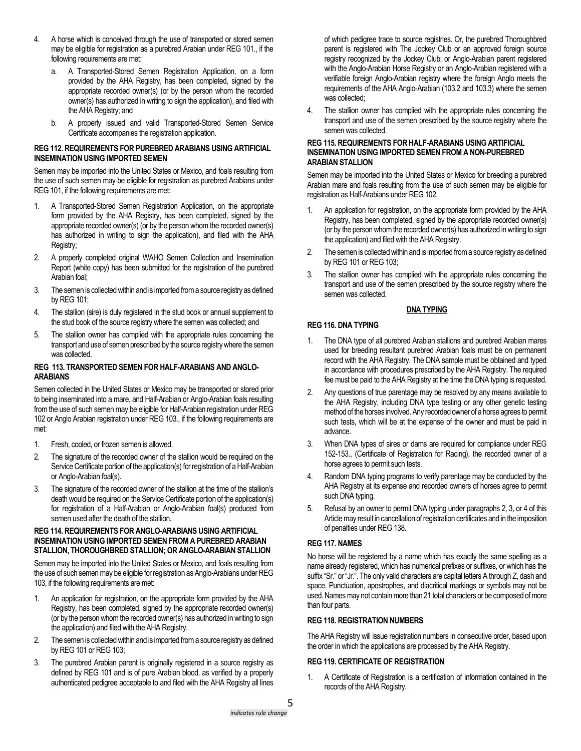- 4. A horse which is conceived through the use of transported or stored semen may be eligible for registration as a purebred Arabian under REG 101., if the following requirements are met:
	- a. A Transported-Stored Semen Registration Application, on a form provided by the AHA Registry, has been completed, signed by the appropriate recorded owner(s) (or by the person whom the recorded owner(s) has authorized in writing to sign the application), and filed with the AHA Registry; and
	- b. A properly issued and valid Transported-Stored Semen Service Certificate accompanies the registration application.

## **REG 112. REQUIREMENTS FOR PUREBRED ARABIANS USING ARTIFICIAL INSEMINATION USING IMPORTED SEMEN**

Semen may be imported into the United States or Mexico, and foals resulting from the use of such semen may be eligible for registration as purebred Arabians under REG 101, if the following requirements are met:

- 1. A Transported-Stored Semen Registration Application, on the appropriate form provided by the AHA Registry, has been completed, signed by the appropriate recorded owner(s) (or by the person whom the recorded owner(s) has authorized in writing to sign the application), and filed with the AHA Registry;
- 2. A properly completed original WAHO Semen Collection and Insemination Report (white copy) has been submitted for the registration of the purebred Arabian foal;
- 3. The semen is collected within and is imported from a source registry as defined by REG 101;
- 4. The stallion (sire) is duly registered in the stud book or annual supplement to the stud book of the source registry where the semen was collected; and
- 5. The stallion owner has complied with the appropriate rules concerning the transport and use of semen prescribed by the source registry where the semen was collected.

### **REG 113. TRANSPORTED SEMEN FOR HALF-ARABIANS AND ANGLO-ARABIANS**

Semen collected in the United States or Mexico may be transported or stored prior to being inseminated into a mare, and Half-Arabian or Anglo-Arabian foals resulting from the use of such semen may be eligible for Half-Arabian registration under REG 102 or Anglo Arabian registration under REG 103., if the following requirements are met:

- 1. Fresh, cooled, or frozen semen is allowed.
- 2. The signature of the recorded owner of the stallion would be required on the Service Certificate portion of the application(s) for registration of a Half-Arabian or Anglo-Arabian foal(s).
- 3. The signature of the recorded owner of the stallion at the time of the stallion's death would be required on the Service Certificate portion of the application(s) for registration of a Half-Arabian or Anglo-Arabian foal(s) produced from semen used after the death of the stallion.

### **REG 114. REQUIREMENTS FOR ANGLO-ARABIANS USING ARTIFICIAL INSEMINATION USING IMPORTED SEMEN FROM A PUREBRED ARABIAN STALLION, THOROUGHBRED STALLION; OR ANGLO-ARABIAN STALLION**

Semen may be imported into the United States or Mexico, and foals resulting from the use of such semen may be eligible for registration as Anglo-Arabians under REG 103, if the following requirements are met:

- 1. An application for registration, on the appropriate form provided by the AHA Registry, has been completed, signed by the appropriate recorded owner(s) (or by the person whom the recorded owner(s) has authorized in writing to sign the application) and filed with the AHA Registry.
- 2. The semen is collected within and is imported from a source registry as defined by REG 101 or REG 103;
- 3. The purebred Arabian parent is originally registered in a source registry as defined by REG 101 and is of pure Arabian blood, as verified by a properly authenticated pedigree acceptable to and filed with the AHA Registry all lines

of which pedigree trace to source registries. Or, the purebred Thoroughbred parent is registered with The Jockey Club or an approved foreign source registry recognized by the Jockey Club; or Anglo-Arabian parent registered with the Anglo-Arabian Horse Registry or an Anglo-Arabian registered with a verifiable foreign Anglo-Arabian registry where the foreign Anglo meets the requirements of the AHA Anglo-Arabian (103.2 and 103.3) where the semen was collected;

4. The stallion owner has complied with the appropriate rules concerning the transport and use of the semen prescribed by the source registry where the semen was collected.

## **REG 115. REQUIREMENTS FOR HALF-ARABIANS USING ARTIFICIAL INSEMINATION USING IMPORTED SEMEN FROM A NON-PUREBRED ARABIAN STALLION**

Semen may be imported into the United States or Mexico for breeding a purebred Arabian mare and foals resulting from the use of such semen may be eligible for registration as Half-Arabians under REG 102.

- 1. An application for registration, on the appropriate form provided by the AHA Registry, has been completed, signed by the appropriate recorded owner(s) (or by the person whom the recorded owner(s) has authorized in writing to sign the application) and filed with the AHA Registry.
- 2. The semen is collected within and is imported from a source registry as defined by REG 101 or REG 103;
- 3. The stallion owner has complied with the appropriate rules concerning the transport and use of the semen prescribed by the source registry where the semen was collected.

# **DNA TYPING**

# **REG 116. DNA TYPING**

- 1. The DNA type of all purebred Arabian stallions and purebred Arabian mares used for breeding resultant purebred Arabian foals must be on permanent record with the AHA Registry. The DNA sample must be obtained and typed in accordance with procedures prescribed by the AHA Registry. The required fee must be paid to the AHA Registry at the time the DNA typing is requested.
- 2. Any questions of true parentage may be resolved by any means available to the AHA Registry, including DNA type testing or any other genetic testing method of the horses involved. Any recorded owner of a horse agrees to permit such tests, which will be at the expense of the owner and must be paid in advance.
- 3. When DNA types of sires or dams are required for compliance under REG 152-153., (Certificate of Registration for Racing), the recorded owner of a horse agrees to permit such tests.
- 4. Random DNA typing programs to verify parentage may be conducted by the AHA Registry at its expense and recorded owners of horses agree to permit such DNA typing.
- 5. Refusal by an owner to permit DNA typing under paragraphs 2, 3, or 4 of this Article may result in cancellation of registration certificates and in the imposition of penalties under REG 138.

# **REG 117. NAMES**

No horse will be registered by a name which has exactly the same spelling as a name already registered, which has numerical prefixes or suffixes, or which has the suffix "Sr." or "Jr.". The only valid characters are capital letters A through Z, dash and space. Punctuation, apostrophes, and diacritical markings or symbols may not be used. Names may not contain more than 21 total characters or be composed of more than four parts.

# **REG 118. REGISTRATION NUMBERS**

The AHA Registry will issue registration numbers in consecutive order, based upon the order in which the applications are processed by the AHA Registry.

# **REG 119. CERTIFICATE OF REGISTRATION**

1. A Certificate of Registration is a certification of information contained in the records of the AHA Registry.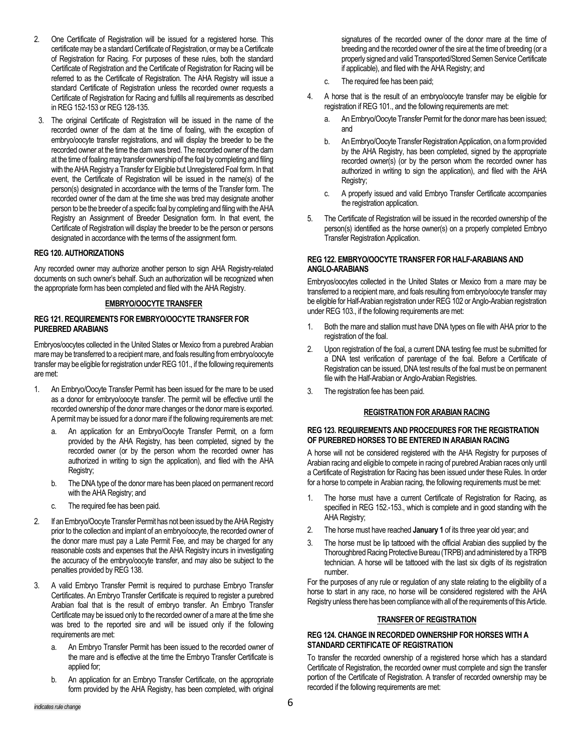- 2. One Certificate of Registration will be issued for a registered horse. This certificate may be a standard Certificate of Registration, or may be a Certificate of Registration for Racing. For purposes of these rules, both the standard Certificate of Registration and the Certificate of Registration for Racing will be referred to as the Certificate of Registration. The AHA Registry will issue a standard Certificate of Registration unless the recorded owner requests a Certificate of Registration for Racing and fulfills all requirements as described in REG 152-153 or REG 128-135.
- 3. The original Certificate of Registration will be issued in the name of the recorded owner of the dam at the time of foaling, with the exception of embryo/oocyte transfer registrations, and will display the breeder to be the recorded owner at the time the dam was bred. The recorded owner of the dam at the time of foaling may transfer ownership of the foal by completing and filing with the AHA Registry a Transfer for Eligible but Unregistered Foal form. In that event, the Certificate of Registration will be issued in the name(s) of the person(s) designated in accordance with the terms of the Transfer form. The recorded owner of the dam at the time she was bred may designate another person to be the breeder of a specific foal by completing and filing with the AHA Registry an Assignment of Breeder Designation form. In that event, the Certificate of Registration will display the breeder to be the person or persons designated in accordance with the terms of the assignment form.

### **REG 120. AUTHORIZATIONS**

Any recorded owner may authorize another person to sign AHA Registry-related documents on such owner's behalf. Such an authorization will be recognized when the appropriate form has been completed and filed with the AHA Registry.

#### **EMBRYO/OOCYTE TRANSFER**

#### **REG 121. REQUIREMENTS FOR EMBRYO/OOCYTE TRANSFER FOR PUREBRED ARABIANS**

Embryos/oocytes collected in the United States or Mexico from a purebred Arabian mare may be transferred to a recipient mare, and foals resulting from embryo/oocyte transfer may be eligible for registration under REG 101., if the following requirements are met:

- 1. An Embryo/Oocyte Transfer Permit has been issued for the mare to be used as a donor for embryo/oocyte transfer. The permit will be effective until the recorded ownership of the donor mare changes or the donor mare is exported. A permit may be issued for a donor mare if the following requirements are met:
	- a. An application for an Embryo/Oocyte Transfer Permit, on a form provided by the AHA Registry, has been completed, signed by the recorded owner (or by the person whom the recorded owner has authorized in writing to sign the application), and filed with the AHA Registry;
	- b. The DNA type of the donor mare has been placed on permanent record with the AHA Registry; and
	- c. The required fee has been paid.
- 2. If an Embryo/Oocyte Transfer Permit has not been issued by the AHA Registry prior to the collection and implant of an embryo/oocyte, the recorded owner of the donor mare must pay a Late Permit Fee, and may be charged for any reasonable costs and expenses that the AHA Registry incurs in investigating the accuracy of the embryo/oocyte transfer, and may also be subject to the penalties provided by REG 138.
- 3. A valid Embryo Transfer Permit is required to purchase Embryo Transfer Certificates. An Embryo Transfer Certificate is required to register a purebred Arabian foal that is the result of embryo transfer. An Embryo Transfer Certificate may be issued only to the recorded owner of a mare at the time she was bred to the reported sire and will be issued only if the following requirements are met:
	- a. An Embryo Transfer Permit has been issued to the recorded owner of the mare and is effective at the time the Embryo Transfer Certificate is applied for;
	- b. An application for an Embryo Transfer Certificate, on the appropriate form provided by the AHA Registry, has been completed, with original

signatures of the recorded owner of the donor mare at the time of breeding and the recorded owner of the sire at the time of breeding (or a properly signed and valid Transported/Stored Semen Service Certificate if applicable), and filed with the AHA Registry; and

- c. The required fee has been paid;
- 4. A horse that is the result of an embryo/oocyte transfer may be eligible for registration if REG 101., and the following requirements are met:
	- a. An Embryo/Oocyte Transfer Permit for the donor mare has been issued; and
	- b. An Embryo/Oocyte Transfer Registration Application, on a form provided by the AHA Registry, has been completed, signed by the appropriate recorded owner(s) (or by the person whom the recorded owner has authorized in writing to sign the application), and filed with the AHA Registry;
	- c. A properly issued and valid Embryo Transfer Certificate accompanies the registration application.
- 5. The Certificate of Registration will be issued in the recorded ownership of the person(s) identified as the horse owner(s) on a properly completed Embryo Transfer Registration Application.

# **REG 122. EMBRYO/OOCYTE TRANSFER FOR HALF-ARABIANS AND ANGLO-ARABIANS**

Embryos/oocytes collected in the United States or Mexico from a mare may be transferred to a recipient mare, and foals resulting from embryo/oocyte transfer may be eligible for Half-Arabian registration under REG 102 or Anglo-Arabian registration under REG 103., if the following requirements are met:

- 1. Both the mare and stallion must have DNA types on file with AHA prior to the registration of the foal.
- 2. Upon registration of the foal, a current DNA testing fee must be submitted for a DNA test verification of parentage of the foal. Before a Certificate of Registration can be issued, DNA test results of the foal must be on permanent file with the Half-Arabian or Anglo-Arabian Registries.
- 3. The registration fee has been paid.

### **REGISTRATION FOR ARABIAN RACING**

#### **REG 123. REQUIREMENTS AND PROCEDURES FOR THE REGISTRATION OF PUREBRED HORSES TO BE ENTERED IN ARABIAN RACING**

A horse will not be considered registered with the AHA Registry for purposes of Arabian racing and eligible to compete in racing of purebred Arabian races only until a Certificate of Registration for Racing has been issued under these Rules. In order for a horse to compete in Arabian racing, the following requirements must be met:

- 1. The horse must have a current Certificate of Registration for Racing, as specified in REG 152.-153., which is complete and in good standing with the AHA Registry;
- 2. The horse must have reached **January 1** of its three year old year; and
- 3. The horse must be lip tattooed with the official Arabian dies supplied by the Thoroughbred Racing Protective Bureau (TRPB) and administered by a TRPB technician. A horse will be tattooed with the last six digits of its registration number.

For the purposes of any rule or regulation of any state relating to the eligibility of a horse to start in any race, no horse will be considered registered with the AHA Registry unless there has been compliance with all of the requirements of this Article.

### **TRANSFER OF REGISTRATION**

### **REG 124. CHANGE IN RECORDED OWNERSHIP FOR HORSES WITH A STANDARD CERTIFICATE OF REGISTRATION**

To transfer the recorded ownership of a registered horse which has a standard Certificate of Registration, the recorded owner must complete and sign the transfer portion of the Certificate of Registration. A transfer of recorded ownership may be recorded if the following requirements are met: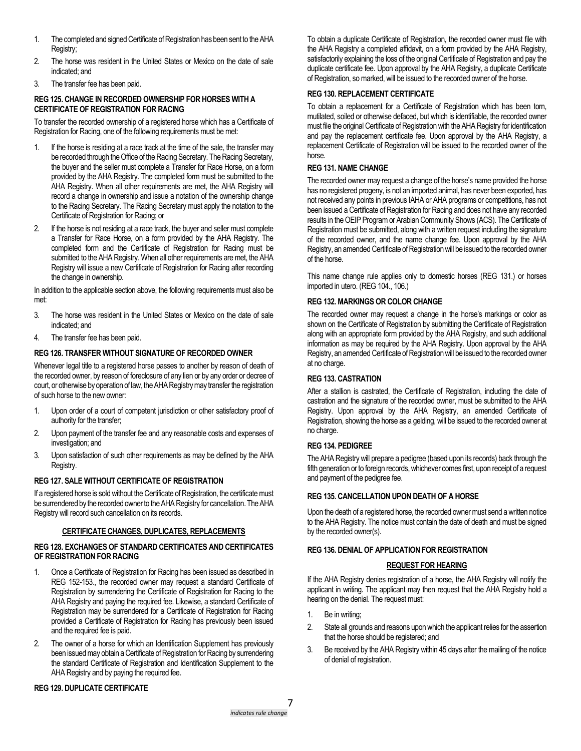- 1. The completed and signed Certificate of Registration has been sent to the AHA Registry;
- 2. The horse was resident in the United States or Mexico on the date of sale indicated; and
- 3. The transfer fee has been paid.

# **REG 125. CHANGE IN RECORDED OWNERSHIP FOR HORSES WITH A CERTIFICATE OF REGISTRATION FOR RACING**

To transfer the recorded ownership of a registered horse which has a Certificate of Registration for Racing, one of the following requirements must be met:

- 1. If the horse is residing at a race track at the time of the sale, the transfer may be recorded through the Office of the Racing Secretary. The Racing Secretary, the buyer and the seller must complete a Transfer for Race Horse, on a form provided by the AHA Registry. The completed form must be submitted to the AHA Registry. When all other requirements are met, the AHA Registry will record a change in ownership and issue a notation of the ownership change to the Racing Secretary. The Racing Secretary must apply the notation to the Certificate of Registration for Racing; or
- 2. If the horse is not residing at a race track, the buyer and seller must complete a Transfer for Race Horse, on a form provided by the AHA Registry. The completed form and the Certificate of Registration for Racing must be submitted to the AHA Registry. When all other requirements are met, the AHA Registry will issue a new Certificate of Registration for Racing after recording the change in ownership.

In addition to the applicable section above, the following requirements must also be met:

- 3. The horse was resident in the United States or Mexico on the date of sale indicated; and
- 4. The transfer fee has been paid.

# **REG 126. TRANSFER WITHOUT SIGNATURE OF RECORDED OWNER**

Whenever legal title to a registered horse passes to another by reason of death of the recorded owner, by reason of foreclosure of any lien or by any order or decree of court, or otherwise by operation of law, the AHA Registry may transfer the registration of such horse to the new owner:

- 1. Upon order of a court of competent jurisdiction or other satisfactory proof of authority for the transfer;
- 2. Upon payment of the transfer fee and any reasonable costs and expenses of investigation; and
- 3. Upon satisfaction of such other requirements as may be defined by the AHA Registry.

# **REG 127. SALE WITHOUT CERTIFICATE OF REGISTRATION**

If a registered horse is sold without the Certificate of Registration, the certificate must be surrendered by the recorded owner to the AHA Registry for cancellation. The AHA Registry will record such cancellation on its records.

# **CERTIFICATE CHANGES, DUPLICATES, REPLACEMENTS**

### **REG 128. EXCHANGES OF STANDARD CERTIFICATES AND CERTIFICATES OF REGISTRATION FOR RACING**

- 1. Once a Certificate of Registration for Racing has been issued as described in REG 152-153., the recorded owner may request a standard Certificate of Registration by surrendering the Certificate of Registration for Racing to the AHA Registry and paying the required fee. Likewise, a standard Certificate of Registration may be surrendered for a Certificate of Registration for Racing provided a Certificate of Registration for Racing has previously been issued and the required fee is paid.
- 2. The owner of a horse for which an Identification Supplement has previously been issued may obtain a Certificate of Registration for Racing by surrendering the standard Certificate of Registration and Identification Supplement to the AHA Registry and by paying the required fee.

To obtain a duplicate Certificate of Registration, the recorded owner must file with the AHA Registry a completed affidavit, on a form provided by the AHA Registry, satisfactorily explaining the loss of the original Certificate of Registration and pay the duplicate certificate fee. Upon approval by the AHA Registry, a duplicate Certificate of Registration, so marked, will be issued to the recorded owner of the horse.

# **REG 130. REPLACEMENT CERTIFICATE**

To obtain a replacement for a Certificate of Registration which has been torn, mutilated, soiled or otherwise defaced, but which is identifiable, the recorded owner must file the original Certificate of Registration with the AHA Registry for identification and pay the replacement certificate fee. Upon approval by the AHA Registry, a replacement Certificate of Registration will be issued to the recorded owner of the horse.

## **REG 131. NAME CHANGE**

The recorded owner may request a change of the horse's name provided the horse has no registered progeny, is not an imported animal, has never been exported, has not received any points in previous IAHA or AHA programs or competitions, has not been issued a Certificate of Registration for Racing and does not have any recorded results in the OEIP Program or Arabian Community Shows (ACS). The Certificate of Registration must be submitted, along with a written request including the signature of the recorded owner, and the name change fee. Upon approval by the AHA Registry, an amended Certificate of Registration will be issued to the recorded owner of the horse.

This name change rule applies only to domestic horses (REG 131.) or horses imported in utero. (REG 104., 106.)

# **REG 132. MARKINGS OR COLOR CHANGE**

The recorded owner may request a change in the horse's markings or color as shown on the Certificate of Registration by submitting the Certificate of Registration along with an appropriate form provided by the AHA Registry, and such additional information as may be required by the AHA Registry. Upon approval by the AHA Registry, an amended Certificate of Registration will be issued to the recorded owner at no charge.

## **REG 133. CASTRATION**

After a stallion is castrated, the Certificate of Registration, including the date of castration and the signature of the recorded owner, must be submitted to the AHA Registry. Upon approval by the AHA Registry, an amended Certificate of Registration, showing the horse as a gelding, will be issued to the recorded owner at no charge.

### **REG 134. PEDIGREE**

The AHA Registry will prepare a pedigree (based upon its records) back through the fifth generation or to foreign records, whichever comes first, upon receipt of a request and payment of the pedigree fee.

## **REG 135. CANCELLATION UPON DEATH OF A HORSE**

Upon the death of a registered horse, the recorded owner must send a written notice to the AHA Registry. The notice must contain the date of death and must be signed by the recorded owner(s).

### **REG 136. DENIAL OF APPLICATION FOR REGISTRATION**

### **REQUEST FOR HEARING**

If the AHA Registry denies registration of a horse, the AHA Registry will notify the applicant in writing. The applicant may then request that the AHA Registry hold a hearing on the denial. The request must:

- 1. Be in writing;
- 2. State all grounds and reasons upon which the applicant relies for the assertion that the horse should be registered; and
- 3. Be received by the AHA Registry within 45 days after the mailing of the notice of denial of registration.

# **REG 129. DUPLICATE CERTIFICATE**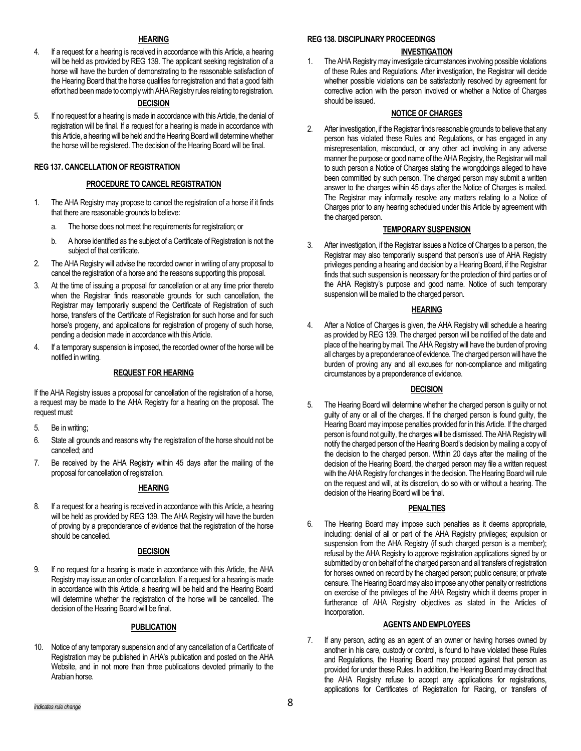### **HEARING**

4. If a request for a hearing is received in accordance with this Article, a hearing will be held as provided by REG 139. The applicant seeking registration of a horse will have the burden of demonstrating to the reasonable satisfaction of the Hearing Board that the horse qualifies for registration and that a good faith effort had been made to comply with AHA Registry rules relating to registration.

## **DECISION**

5. If no request for a hearing is made in accordance with this Article, the denial of registration will be final. If a request for a hearing is made in accordance with this Article, a hearing will be held and the Hearing Board will determine whether the horse will be registered. The decision of the Hearing Board will be final.

### **REG 137. CANCELLATION OF REGISTRATION**

### **PROCEDURE TO CANCEL REGISTRATION**

- 1. The AHA Registry may propose to cancel the registration of a horse if it finds that there are reasonable grounds to believe:
	- a. The horse does not meet the requirements for registration; or
	- b. A horse identified as the subject of a Certificate of Registration is not the subject of that certificate.
- 2. The AHA Registry will advise the recorded owner in writing of any proposal to cancel the registration of a horse and the reasons supporting this proposal.
- 3. At the time of issuing a proposal for cancellation or at any time prior thereto when the Registrar finds reasonable grounds for such cancellation, the Registrar may temporarily suspend the Certificate of Registration of such horse, transfers of the Certificate of Registration for such horse and for such horse's progeny, and applications for registration of progeny of such horse, pending a decision made in accordance with this Article.
- 4. If a temporary suspension is imposed, the recorded owner of the horse will be notified in writing.

### **REQUEST FOR HEARING**

If the AHA Registry issues a proposal for cancellation of the registration of a horse, a request may be made to the AHA Registry for a hearing on the proposal. The request must:

- 5. Be in writing;
- 6. State all grounds and reasons why the registration of the horse should not be cancelled; and
- 7. Be received by the AHA Registry within 45 days after the mailing of the proposal for cancellation of registration.

### **HEARING**

8. If a request for a hearing is received in accordance with this Article, a hearing will be held as provided by REG 139. The AHA Registry will have the burden of proving by a preponderance of evidence that the registration of the horse should be cancelled.

### **DECISION**

9. If no request for a hearing is made in accordance with this Article, the AHA Registry may issue an order of cancellation. If a request for a hearing is made in accordance with this Article, a hearing will be held and the Hearing Board will determine whether the registration of the horse will be cancelled. The decision of the Hearing Board will be final.

# **PUBLICATION**

10. Notice of any temporary suspension and of any cancellation of a Certificate of Registration may be published in AHA's publication and posted on the AHA Website, and in not more than three publications devoted primarily to the Arabian horse.

### **REG 138. DISCIPLINARY PROCEEDINGS**

## **INVESTIGATION**

1. The AHA Registry may investigate circumstances involving possible violations of these Rules and Regulations. After investigation, the Registrar will decide whether possible violations can be satisfactorily resolved by agreement for corrective action with the person involved or whether a Notice of Charges should be issued.

## **NOTICE OF CHARGES**

2. After investigation, if the Registrar finds reasonable grounds to believe that any person has violated these Rules and Regulations, or has engaged in any misrepresentation, misconduct, or any other act involving in any adverse manner the purpose or good name of the AHA Registry, the Registrar will mail to such person a Notice of Charges stating the wrongdoings alleged to have been committed by such person. The charged person may submit a written answer to the charges within 45 days after the Notice of Charges is mailed. The Registrar may informally resolve any matters relating to a Notice of Charges prior to any hearing scheduled under this Article by agreement with the charged person.

### **TEMPORARY SUSPENSION**

3. After investigation, if the Registrar issues a Notice of Charges to a person, the Registrar may also temporarily suspend that person's use of AHA Registry privileges pending a hearing and decision by a Hearing Board, if the Registrar finds that such suspension is necessary for the protection of third parties or of the AHA Registry's purpose and good name. Notice of such temporary suspension will be mailed to the charged person.

# **HEARING**

4. After a Notice of Charges is given, the AHA Registry will schedule a hearing as provided by REG 139. The charged person will be notified of the date and place of the hearing by mail. The AHA Registry will have the burden of proving all charges by a preponderance of evidence. The charged person will have the burden of proving any and all excuses for non-compliance and mitigating circumstances by a preponderance of evidence.

# **DECISION**

5. The Hearing Board will determine whether the charged person is guilty or not guilty of any or all of the charges. If the charged person is found guilty, the Hearing Board may impose penalties provided for in this Article. If the charged person is found not guilty, the charges will be dismissed. The AHA Registry will notify the charged person of the Hearing Board's decision by mailing a copy of the decision to the charged person. Within 20 days after the mailing of the decision of the Hearing Board, the charged person may file a written request with the AHA Registry for changes in the decision. The Hearing Board will rule on the request and will, at its discretion, do so with or without a hearing. The decision of the Hearing Board will be final.

# **PENALTIES**

6. The Hearing Board may impose such penalties as it deems appropriate, including: denial of all or part of the AHA Registry privileges; expulsion or suspension from the AHA Registry (if such charged person is a member); refusal by the AHA Registry to approve registration applications signed by or submitted by or on behalf of the charged person and all transfers of registration for horses owned on record by the charged person; public censure; or private censure. The Hearing Board may also impose any other penalty or restrictions on exercise of the privileges of the AHA Registry which it deems proper in furtherance of AHA Registry objectives as stated in the Articles of Incorporation.

# **AGENTS AND EMPLOYEES**

7. If any person, acting as an agent of an owner or having horses owned by another in his care, custody or control, is found to have violated these Rules and Regulations, the Hearing Board may proceed against that person as provided for under these Rules. In addition, the Hearing Board may direct that the AHA Registry refuse to accept any applications for registrations, applications for Certificates of Registration for Racing, or transfers of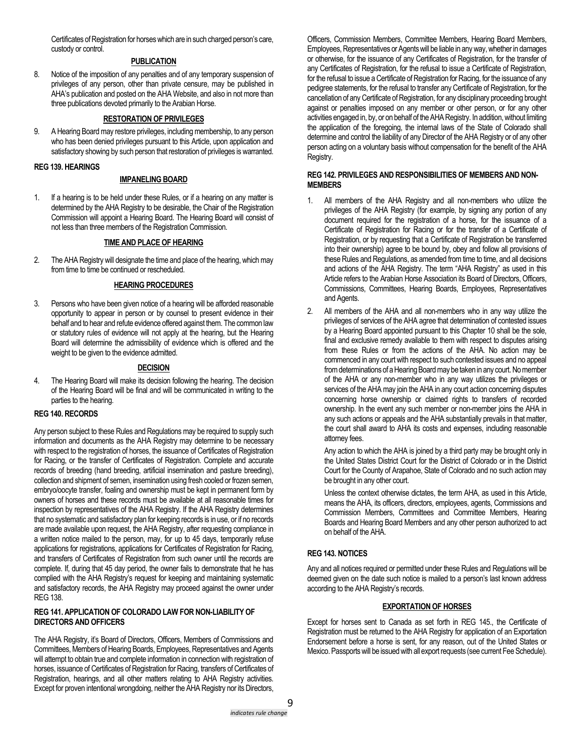Certificates of Registration for horses which are in such charged person's care, custody or control.

### **PUBLICATION**

8. Notice of the imposition of any penalties and of any temporary suspension of privileges of any person, other than private censure, may be published in AHA's publication and posted on the AHA Website, and also in not more than three publications devoted primarily to the Arabian Horse.

# **RESTORATION OF PRIVILEGES**

9. A Hearing Board may restore privileges, including membership, to any person who has been denied privileges pursuant to this Article, upon application and satisfactory showing by such person that restoration of privileges is warranted.

#### **REG 139. HEARINGS**

### **IMPANELING BOARD**

1. If a hearing is to be held under these Rules, or if a hearing on any matter is determined by the AHA Registry to be desirable, the Chair of the Registration Commission will appoint a Hearing Board. The Hearing Board will consist of not less than three members of the Registration Commission.

#### **TIME AND PLACE OF HEARING**

2. The AHA Registry will designate the time and place of the hearing, which may from time to time be continued or rescheduled.

#### **HEARING PROCEDURES**

3. Persons who have been given notice of a hearing will be afforded reasonable opportunity to appear in person or by counsel to present evidence in their behalf and to hear and refute evidence offered against them. The common law or statutory rules of evidence will not apply at the hearing, but the Hearing Board will determine the admissibility of evidence which is offered and the weight to be given to the evidence admitted.

#### **DECISION**

4. The Hearing Board will make its decision following the hearing. The decision of the Hearing Board will be final and will be communicated in writing to the parties to the hearing.

## **REG 140. RECORDS**

Any person subject to these Rules and Regulations may be required to supply such information and documents as the AHA Registry may determine to be necessary with respect to the registration of horses, the issuance of Certificates of Registration for Racing, or the transfer of Certificates of Registration. Complete and accurate records of breeding (hand breeding, artificial insemination and pasture breeding), collection and shipment of semen, insemination using fresh cooled or frozen semen, embryo/oocyte transfer, foaling and ownership must be kept in permanent form by owners of horses and these records must be available at all reasonable times for inspection by representatives of the AHA Registry. If the AHA Registry determines that no systematic and satisfactory plan for keeping records is in use, or if no records are made available upon request, the AHA Registry, after requesting compliance in a written notice mailed to the person, may, for up to 45 days, temporarily refuse applications for registrations, applications for Certificates of Registration for Racing, and transfers of Certificates of Registration from such owner until the records are complete. If, during that 45 day period, the owner fails to demonstrate that he has complied with the AHA Registry's request for keeping and maintaining systematic and satisfactory records, the AHA Registry may proceed against the owner under REG 138.

### **REG 141. APPLICATION OF COLORADO LAW FOR NON-LIABILITY OF DIRECTORS AND OFFICERS**

The AHA Registry, it's Board of Directors, Officers, Members of Commissions and Committees, Members of Hearing Boards, Employees, Representatives and Agents will attempt to obtain true and complete information in connection with registration of horses, issuance of Certificates of Registration for Racing, transfers of Certificates of Registration, hearings, and all other matters relating to AHA Registry activities. Except for proven intentional wrongdoing, neither the AHA Registry nor its Directors,

Officers, Commission Members, Committee Members, Hearing Board Members, Employees, Representatives or Agents will be liable in any way, whether in damages or otherwise, for the issuance of any Certificates of Registration, for the transfer of any Certificates of Registration, for the refusal to issue a Certificate of Registration, for the refusal to issue a Certificate of Registration for Racing, for the issuance of any pedigree statements, for the refusal to transfer any Certificate of Registration, for the cancellation of any Certificate of Registration, for any disciplinary proceeding brought against or penalties imposed on any member or other person, or for any other activities engaged in, by, or on behalf of the AHA Registry. In addition, without limiting the application of the foregoing, the internal laws of the State of Colorado shall determine and control the liability of any Director of the AHA Registry or of any other person acting on a voluntary basis without compensation for the benefit of the AHA Registry.

### **REG 142. PRIVILEGES AND RESPONSIBILITIES OF MEMBERS AND NON-MEMBERS**

- 1. All members of the AHA Registry and all non-members who utilize the privileges of the AHA Registry (for example, by signing any portion of any document required for the registration of a horse, for the issuance of a Certificate of Registration for Racing or for the transfer of a Certificate of Registration, or by requesting that a Certificate of Registration be transferred into their ownership) agree to be bound by, obey and follow all provisions of these Rules and Regulations, as amended from time to time, and all decisions and actions of the AHA Registry. The term "AHA Registry" as used in this Article refers to the Arabian Horse Association its Board of Directors, Officers, Commissions, Committees, Hearing Boards, Employees, Representatives and Agents.
- 2. All members of the AHA and all non-members who in any way utilize the privileges of services of the AHA agree that determination of contested issues by a Hearing Board appointed pursuant to this Chapter 10 shall be the sole, final and exclusive remedy available to them with respect to disputes arising from these Rules or from the actions of the AHA. No action may be commenced in any court with respect to such contested issues and no appeal from determinations of a Hearing Board may be taken in any court. No member of the AHA or any non-member who in any way utilizes the privileges or services of the AHA may join the AHA in any court action concerning disputes concerning horse ownership or claimed rights to transfers of recorded ownership. In the event any such member or non-member joins the AHA in any such actions or appeals and the AHA substantially prevails in that matter, the court shall award to AHA its costs and expenses, including reasonable attorney fees.

Any action to which the AHA is joined by a third party may be brought only in the United States District Court for the District of Colorado or in the District Court for the County of Arapahoe, State of Colorado and no such action may be brought in any other court.

Unless the context otherwise dictates, the term AHA, as used in this Article, means the AHA, its officers, directors, employees, agents, Commissions and Commission Members, Committees and Committee Members, Hearing Boards and Hearing Board Members and any other person authorized to act on behalf of the AHA.

### **REG 143. NOTICES**

Any and all notices required or permitted under these Rules and Regulations will be deemed given on the date such notice is mailed to a person's last known address according to the AHA Registry's records.

#### **EXPORTATION OF HORSES**

Except for horses sent to Canada as set forth in REG 145., the Certificate of Registration must be returned to the AHA Registry for application of an Exportation Endorsement before a horse is sent, for any reason, out of the United States or Mexico.Passports will be issued with all export requests (see current Fee Schedule).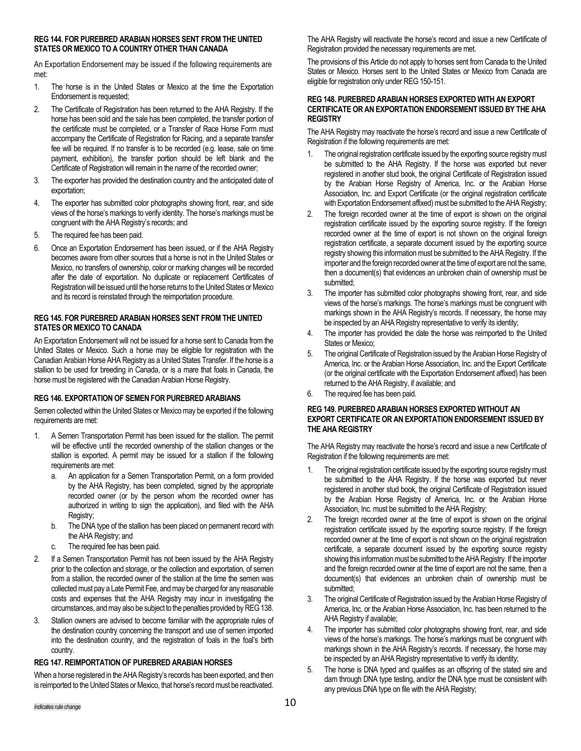### **REG 144. FOR PUREBRED ARABIAN HORSES SENT FROM THE UNITED STATES OR MEXICO TO A COUNTRY OTHER THAN CANADA**

An Exportation Endorsement may be issued if the following requirements are met:

- 1. The horse is in the United States or Mexico at the time the Exportation Endorsement is requested;
- 2. The Certificate of Registration has been returned to the AHA Registry. If the horse has been sold and the sale has been completed, the transfer portion of the certificate must be completed, or a Transfer of Race Horse Form must accompany the Certificate of Registration for Racing, and a separate transfer fee will be required. If no transfer is to be recorded (e.g. lease, sale on time payment, exhibition), the transfer portion should be left blank and the Certificate of Registration will remain in the name of the recorded owner;
- 3. The exporter has provided the destination country and the anticipated date of exportation;
- 4. The exporter has submitted color photographs showing front, rear, and side views of the horse's markings to verify identity. The horse's markings must be congruent with the AHA Registry's records; and
- 5. The required fee has been paid.
- 6. Once an Exportation Endorsement has been issued, or if the AHA Registry becomes aware from other sources that a horse is not in the United States or Mexico, no transfers of ownership, color or marking changes will be recorded after the date of exportation. No duplicate or replacement Certificates of Registration will be issued until the horse returns to the United States or Mexico and its record is reinstated through the reimportation procedure.

### **REG 145. FOR PUREBRED ARABIAN HORSES SENT FROM THE UNITED STATES OR MEXICO TO CANADA**

An Exportation Endorsement will not be issued for a horse sent to Canada from the United States or Mexico. Such a horse may be eligible for registration with the Canadian Arabian Horse AHA Registry as a United States Transfer. If the horse is a stallion to be used for breeding in Canada, or is a mare that foals in Canada, the horse must be registered with the Canadian Arabian Horse Registry.

# **REG 146. EXPORTATION OF SEMEN FOR PUREBRED ARABIANS**

Semen collected within the United States or Mexico may be exported if the following requirements are met:

- 1. A Semen Transportation Permit has been issued for the stallion. The permit will be effective until the recorded ownership of the stallion changes or the stallion is exported. A permit may be issued for a stallion if the following requirements are met:
	- a. An application for a Semen Transportation Permit, on a form provided by the AHA Registry, has been completed, signed by the appropriate recorded owner (or by the person whom the recorded owner has authorized in writing to sign the application), and filed with the AHA Registry;
	- b. The DNA type of the stallion has been placed on permanent record with the AHA Registry; and
	- c. The required fee has been paid.
- 2. If a Semen Transportation Permit has not been issued by the AHA Registry prior to the collection and storage, or the collection and exportation, of semen from a stallion, the recorded owner of the stallion at the time the semen was collected must pay a Late Permit Fee, and may be charged for any reasonable costs and expenses that the AHA Registry may incur in investigating the circumstances, and may also be subject to the penalties provided by REG138.
- 3. Stallion owners are advised to become familiar with the appropriate rules of the destination country concerning the transport and use of semen imported into the destination country, and the registration of foals in the foal's birth country.

# **REG 147. REIMPORTATION OF PUREBRED ARABIAN HORSES**

When a horse registered in the AHA Registry's records has been exported, and then is reimported to the United States or Mexico, that horse's record must be reactivated. The AHA Registry will reactivate the horse's record and issue a new Certificate of Registration provided the necessary requirements are met.

The provisions of this Article do not apply to horses sent from Canada to the United States or Mexico. Horses sent to the United States or Mexico from Canada are eligible for registration only under REG 150-151.

# **REG 148. PUREBRED ARABIAN HORSES EXPORTED WITH AN EXPORT CERTIFICATE OR AN EXPORTATION ENDORSEMENT ISSUED BY THE AHA REGISTRY**

The AHA Registry may reactivate the horse's record and issue a new Certificate of Registration if the following requirements are met:

- 1. The original registration certificate issued by the exporting source registry must be submitted to the AHA Registry. If the horse was exported but never registered in another stud book, the original Certificate of Registration issued by the Arabian Horse Registry of America, Inc. or the Arabian Horse Association, Inc. and Export Certificate (or the original registration certificate with Exportation Endorsement affixed) must be submitted to the AHA Registry;
- 2. The foreign recorded owner at the time of export is shown on the original registration certificate issued by the exporting source registry. If the foreign recorded owner at the time of export is not shown on the original foreign registration certificate, a separate document issued by the exporting source registry showing this information must be submitted to the AHA Registry. If the importer and the foreign recorded owner at the time of export are not the same, then a document(s) that evidences an unbroken chain of ownership must be submitted;
- 3. The importer has submitted color photographs showing front, rear, and side views of the horse's markings. The horse's markings must be congruent with markings shown in the AHA Registry's records. If necessary, the horse may be inspected by an AHA Registry representative to verify its identity;
- 4. The importer has provided the date the horse was reimported to the United States or Mexico;
- 5. The original Certificate of Registration issued by the Arabian Horse Registry of America, Inc. or the Arabian Horse Association, Inc. and the Export Certificate (or the original certificate with the Exportation Endorsement affixed) has been returned to the AHA Registry, if available; and
- 6. The required fee has been paid.

### **REG 149. PUREBRED ARABIAN HORSES EXPORTED WITHOUT AN EXPORT CERTIFICATE OR AN EXPORTATION ENDORSEMENT ISSUED BY THE AHA REGISTRY**

The AHA Registry may reactivate the horse's record and issue a new Certificate of Registration if the following requirements are met:

- 1. The original registration certificate issued by the exporting source registry must be submitted to the AHA Registry. If the horse was exported but never registered in another stud book, the original Certificate of Registration issued by the Arabian Horse Registry of America, Inc. or the Arabian Horse Association, Inc. must be submitted to the AHA Registry;
- 2. The foreign recorded owner at the time of export is shown on the original registration certificate issued by the exporting source registry. If the foreign recorded owner at the time of export is not shown on the original registration certificate, a separate document issued by the exporting source registry showing this information must be submitted to the AHA Registry. If the importer and the foreign recorded owner at the time of export are not the same, then a document(s) that evidences an unbroken chain of ownership must be submitted:
- 3. The original Certificate of Registration issued by the Arabian Horse Registry of America, Inc. or the Arabian Horse Association, Inc. has been returned to the AHA Registry if available;
- 4. The importer has submitted color photographs showing front, rear, and side views of the horse's markings. The horse's markings must be congruent with markings shown in the AHA Registry's records. If necessary, the horse may be inspected by an AHA Registry representative to verify its identity;
- 5. The horse is DNA typed and qualifies as an offspring of the stated sire and dam through DNA type testing, and/or the DNA type must be consistent with any previous DNA type on file with the AHA Registry;